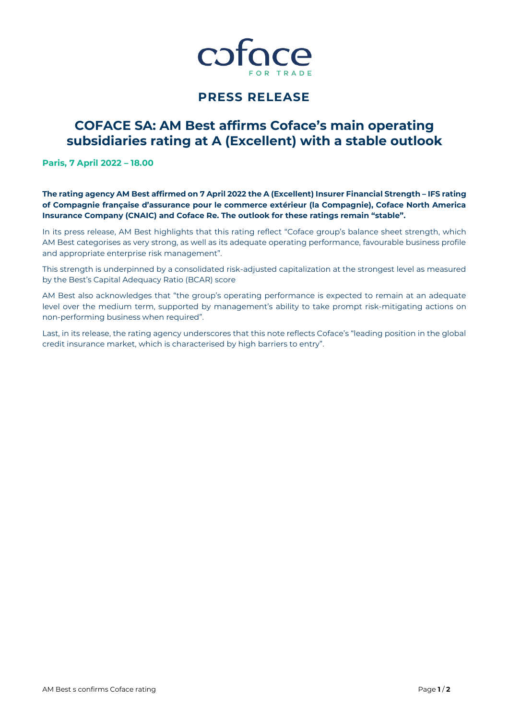

## **PRESS RELEASE**

# **COFACE SA: AM Best affirms Coface's main operating subsidiaries rating at A (Excellent) with a stable outlook**

**Paris, 7 April 2022 – 18.00**

**The rating agency AM Best affirmed on 7 April 2022 the A (Excellent) Insurer Financial Strength – IFS rating of Compagnie française d'assurance pour le commerce extérieur (la Compagnie), Coface North America Insurance Company (CNAIC) and Coface Re. The outlook for these ratings remain "stable".**

In its press release, AM Best highlights that this rating reflect "Coface group's balance sheet strength, which AM Best categorises as very strong, as well as its adequate operating performance, favourable business profile and appropriate enterprise risk management".

This strength is underpinned by a consolidated risk-adjusted capitalization at the strongest level as measured by the Best's Capital Adequacy Ratio (BCAR) score

AM Best also acknowledges that "the group's operating performance is expected to remain at an adequate level over the medium term, supported by management's ability to take prompt risk-mitigating actions on non-performing business when required".

Last, in its release, the rating agency underscores that this note reflects Coface's "leading position in the global credit insurance market, which is characterised by high barriers to entry".